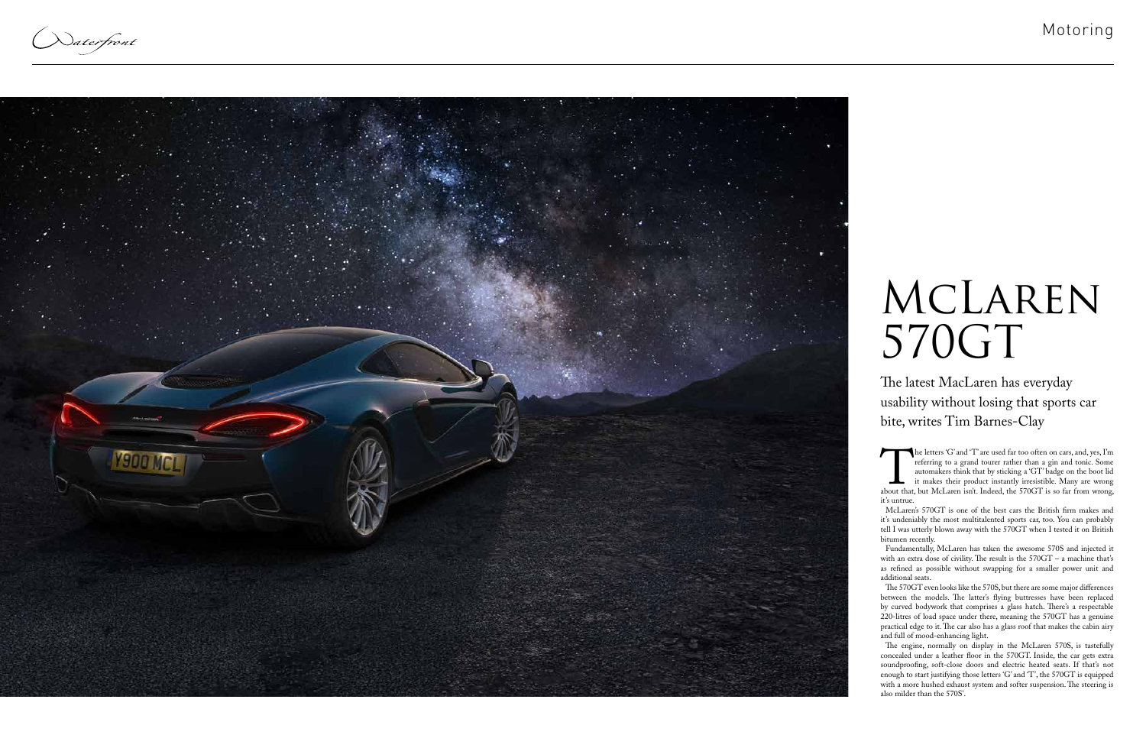Naterfront



The letters 'G' and '1' are used far too often on cars, and, yes, I'm<br>referring to a grand tourer rather than a gin and tonic. Some<br>automakers think that by sticking a 'GT' badge on the boot lid<br>it makes their product inst referring to a grand tourer rather than a gin and tonic. Some automakers think that by sticking a 'GT' badge on the boot lid it makes their product instantly irresistible. Many are wrong about that, but McLaren isn't. Indeed, the 570GT is so far from wrong, it's untrue.

McLaren's 570GT is one of the best cars the British firm makes and it's undeniably the most multitalented sports car, too. You can probably tell I was utterly blown away with the 570GT when I tested it on British bitumen recently.

Fundamentally, McLaren has taken the awesome 570S and injected it with an extra dose of civility. The result is the 570GT – a machine that's as refined as possible without swapping for a smaller power unit and additional seats.

## MCLAREN 570GT

The 570GT even looks like the 570S, but there are some major differences between the models. The latter's flying buttresses have been replaced by curved bodywork that comprises a glass hatch. There's a respectable 220-litres of load space under there, meaning the 570GT has a genuine practical edge to it. The car also has a glass roof that makes the cabin airy and full of mood-enhancing light.

The engine, normally on display in the McLaren 570S, is tastefully concealed under a leather floor in the 570GT. Inside, the car gets extra soundproofing, soft-close doors and electric heated seats. If that's not enough to start justifying those letters 'G' and 'T', the 570GT is equipped with a more hushed exhaust system and softer suspension. The steering is also milder than the 570S'.

The latest MacLaren has everyday usability without losing that sports car bite, writes Tim Barnes-Clay